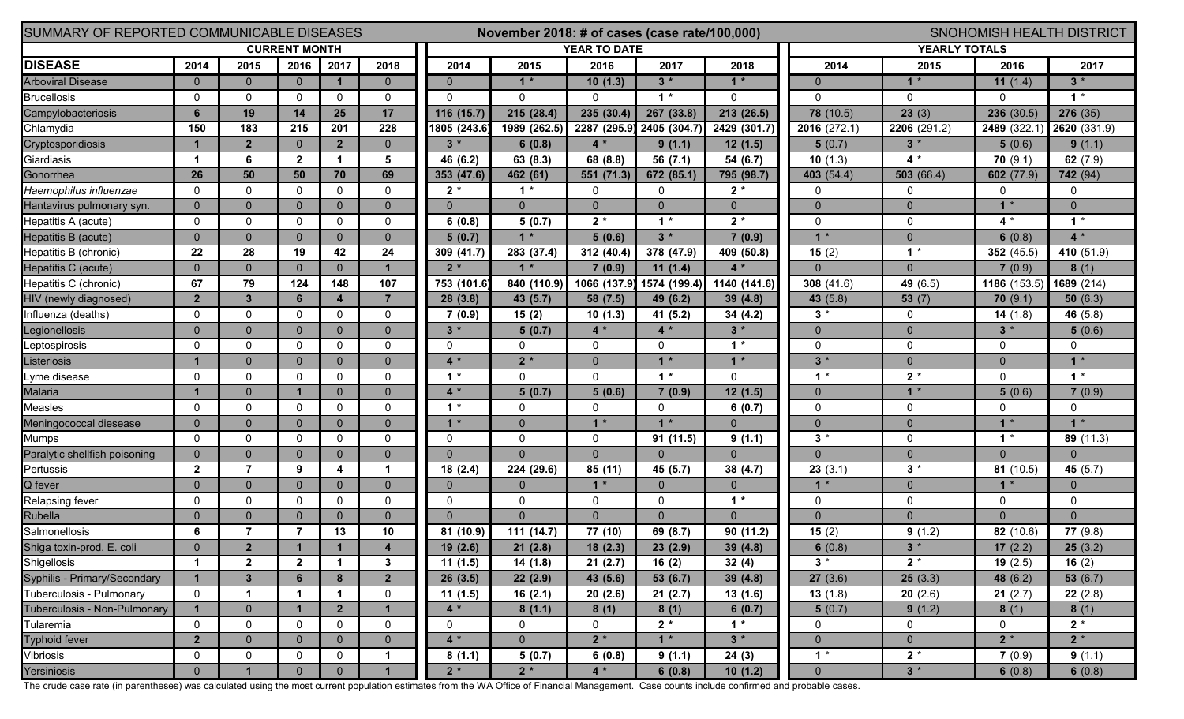| SUMMARY OF REPORTED COMMUNICABLE DISEASES |                | November 2018: # of cases (case rate/100,000) |                |                      |                      |                     | <b>SNOHOMISH HEALTH DISTRICT</b> |                |              |              |                      |              |              |                |
|-------------------------------------------|----------------|-----------------------------------------------|----------------|----------------------|----------------------|---------------------|----------------------------------|----------------|--------------|--------------|----------------------|--------------|--------------|----------------|
| <b>CURRENT MONTH</b>                      |                |                                               |                |                      |                      | <b>YEAR TO DATE</b> |                                  |                |              |              | <b>YEARLY TOTALS</b> |              |              |                |
| <b>DISEASE</b>                            | 2014           | 2015                                          | 2016           | 2017                 | 2018                 | 2014                | 2015                             | 2016           | 2017         | 2018         | 2014                 | 2015         | 2016         | 2017           |
| <b>Arboviral Disease</b>                  | $\Omega$       | $\mathbf{0}$                                  | $\mathbf{0}$   | $\mathbf{1}$         | $\overline{0}$       | $\Omega$            | $1*$                             | 10(1.3)        | $3 *$        | $1 *$        | $\mathbf{0}$         | $1 *$        | 11 $(1.4)$   | $3^*$          |
| <b>Brucellosis</b>                        | $\mathbf{0}$   | $\mathbf{0}$                                  | $\mathbf 0$    | $\mathbf 0$          | 0                    | $\mathbf{0}$        | $\mathbf{0}$                     | $\Omega$       | $1 *$        | $\Omega$     | $\mathbf{0}$         | $\mathbf{0}$ |              | $\star$<br>1   |
| Campylobacteriosis                        | 6              | 19                                            | 14             | 25                   | 17                   | 116 (15.7)          | 215 (28.4)                       | 235 (30.4)     | 267 (33.8)   | 213 (26.5)   | 78 (10.5)            | 23(3)        | 236(30.5)    | 276 (35)       |
| Chlamydia                                 | 150            | 183                                           | 215            | 201                  | 228                  | 1805 (243.6)        | 1989 (262.5)                     | 2287 (295.9)   | 2405 (304.7) | 2429 (301.7) | 2016 (272.1)         | 2206 (291.2) | 2489 (322.1  | 2620 (331.9)   |
| Cryptosporidiosis                         |                | $\overline{2}$                                | $\overline{0}$ | $\overline{2}$       | $\overline{0}$       | $3*$                | 6(0.8)                           | $4*$           | 9(1.1)       | 12(1.5)      | 5(0.7)               | $3^*$        | 5(0.6)       | 9(1.1)         |
| Giardiasis                                | 1              | 6                                             | $\overline{2}$ | $\blacktriangleleft$ | 5                    | 46 (6.2)            | 63 (8.3)                         | 68 (8.8)       | 56 $(7.1)$   | 54 (6.7)     | 10(1.3)              | $4*$         | 70(9.1)      | 62 $(7.9)$     |
| Gonorrhea                                 | 26             | 50                                            | 50             | 70                   | 69                   | 353 (47.6)          | 462 (61)                         | 551 (71.3)     | 672 (85.1)   | 795 (98.7)   | 403 (54.4)           | 503(66.4)    | 602 (77.9)   | 742 (94)       |
| Haemophilus influenzae                    | $\Omega$       | 0                                             | $\Omega$       | $\Omega$             | $\Omega$             | $2*$                | $1*$                             | 0              | $\Omega$     | $2*$         | 0                    | 0            | 0            | 0              |
| Hantavirus pulmonary syn.                 | $\Omega$       | $\Omega$                                      | $\mathbf{0}$   | $\overline{0}$       | $\overline{0}$       | $\Omega$            | $\Omega$                         | $\overline{0}$ | $\mathbf{0}$ | $\Omega$     | $\mathbf{0}$         | $\mathbf{0}$ | $1 *$        | $\Omega$       |
| Hepatitis A (acute)                       | $\mathbf{0}$   | 0                                             | $\mathbf 0$    | $\mathbf 0$          | $\Omega$             | 6(0.8)              | 5(0.7)                           | $2*$           | $1 *$        | $2^*$        | $\mathbf 0$          | $\mathbf 0$  | 4 *          | $1*$           |
| Hepatitis B (acute)                       | $\Omega$       | $\overline{0}$                                | $\mathbf{0}$   | $\overline{0}$       | $\overline{0}$       | 5(0.7)              | $1*$                             | 5(0.6)         | $3*$         | 7(0.9)       | $1*$                 | $\mathbf{0}$ | 6(0.8)       | $4*$           |
| Hepatitis B (chronic)                     | 22             | 28                                            | 19             | 42                   | 24                   | 309 (41.7)          | 283 (37.4)                       | 312 (40.4)     | 378 (47.9)   | 409 (50.8)   | 15 $(2)$             | 1            | 352 $(45.5)$ | 410 (51.9)     |
| Hepatitis C (acute)                       | $\Omega$       | $\Omega$                                      | $\mathbf{0}$   | $\overline{0}$       | $\mathbf{1}$         | $2*$                | $1 *$                            | 7(0.9)         | 11(1.4)      |              | $\Omega$             | $\Omega$     | 7(0.9)       | 8(1)           |
| Hepatitis C (chronic)                     | 67             | 79                                            | 124            | 148                  | 107                  | 753 (101.6)         | 840 (110.9)                      | 1066 (137.9)   | 1574 (199.4) | 1140 (141.6) | 308 $(41.6)$         | 49 (6.5)     | 1186 (153.5) | 1689 (214)     |
| HIV (newly diagnosed)                     | $\overline{2}$ | $\mathbf{3}$                                  | $6\phantom{1}$ | $\overline{4}$       | $\overline{7}$       | 28(3.8)             | 43 (5.7)                         | 58 (7.5)       | 49 (6.2)     | 39(4.8)      | 43 (5.8)             | 53(7)        | 70(9.1)      | 50 $(6.3)$     |
| Influenza (deaths)                        | $\Omega$       | $\Omega$                                      | $\mathbf{0}$   | $\Omega$             | $\mathbf 0$          | 7(0.9)              | 15(2)                            | 10(1.3)        | 41 (5.2)     | 34 (4.2)     | $3^*$                | $\mathbf{0}$ | 14 $(1.8)$   | 46 (5.8)       |
| Legionellosis                             | $\Omega$       | $\overline{0}$                                | $\mathbf{0}$   | $\overline{0}$       | $\overline{0}$       | $3 *$               | 5(0.7)                           | $4*$           | $4 *$        | $3*$         | $\mathbf{0}$         | $\Omega$     | $3 *$        | 5(0.6)         |
| Leptospirosis                             | $\mathbf{0}$   | $\Omega$                                      | $\mathbf{0}$   | $\Omega$             | 0                    | 0                   | 0                                | 0              | $\Omega$     | $1*$         | $\mathbf 0$          | 0            | 0            | 0              |
| Listeriosis                               |                | $\Omega$                                      | $\mathbf{0}$   | $\overline{0}$       | $\overline{0}$       | $4*$                | $2*$                             | $\mathbf{0}$   | $1 *$        | $\star$      | $3 *$                | $\mathbf{0}$ | $\Omega$     | $1 *$          |
| Lyme disease                              | $\mathbf{0}$   | 0                                             | $\mathbf 0$    | $\mathbf{0}$         | $\Omega$             | $1*$                | $\mathbf{0}$                     | $\Omega$       | $1 *$        | $\Omega$     | $1^*$                | $2^*$        | <sup>0</sup> | $1*$           |
| Malaria                                   |                | $\overline{0}$                                | $\mathbf{1}$   | $\overline{0}$       | $\overline{0}$       | $4*$                | 5(0.7)                           | 5(0.6)         | 7(0.9)       | 12(1.5)      | $\mathbf{0}$         | $\mathbf{1}$ | 5(0.6)       | 7(0.9)         |
| Measles                                   | $\mathbf{0}$   | 0                                             | $\mathbf 0$    | $\mathbf 0$          | 0                    | $1*$                | 0                                | $\mathbf{0}$   | $\Omega$     | 6(0.7)       | $\mathbf 0$          | $\mathbf{0}$ |              | $\mathbf{0}$   |
| Meningococcal diesease                    | $\Omega$       | $\Omega$                                      | $\Omega$       | $\overline{0}$       | $\overline{0}$       | $1*$                | $\Omega$                         | $1*$           | $1 *$        | $\Omega$     | $\Omega$             | $\Omega$     | $1 *$        |                |
| <b>Mumps</b>                              | $\mathbf{0}$   | 0                                             | $\mathbf 0$    | $\Omega$             | $\Omega$             | 0                   | $\mathbf{0}$                     | $\mathbf 0$    | 91 (11.5)    | 9(1.1)       | $3*$                 | $\mathbf{0}$ | 1            | 89(11.3)       |
| Paralytic shellfish poisoning             | $\Omega$       | $\Omega$                                      | $\mathbf{0}$   | $\overline{0}$       | $\overline{0}$       | $\Omega$            | $\Omega$                         | $\mathbf{0}$   | $\Omega$     | $\Omega$     | $\Omega$             | $\Omega$     | $\Omega$     | $\Omega$       |
| Pertussis                                 | $\overline{2}$ | $\overline{7}$                                | 9              | 4                    | $\blacktriangleleft$ | 18(2.4)             | 224 (29.6)                       | 85 (11)        | 45 (5.7)     | 38 (4.7)     | 23(3.1)              | $3 *$        | 81(10.5)     | 45 $(5.7)$     |
| Q fever                                   | $\Omega$       | $\overline{0}$                                | $\Omega$       | $\overline{0}$       | $\overline{0}$       | $\Omega$            | $\mathbf{0}$                     | $1*$           | $\mathbf{0}$ | $\Omega$     | $1*$                 | $\mathbf{0}$ |              | $\overline{0}$ |
| Relapsing fever                           | $\mathbf{0}$   | $\Omega$                                      | $\mathbf{0}$   | $\mathbf{0}$         | 0                    | $\mathbf 0$         | $\mathbf 0$                      | 0              | $\Omega$     | *<br>1       | $\mathbf 0$          | 0            | 0            | 0              |
| Rubella                                   | $\Omega$       | $\Omega$                                      | $\mathbf{0}$   | $\overline{0}$       | $\overline{0}$       | $\mathbf{0}$        | $\Omega$                         | $\mathbf{0}$   | $\Omega$     | $\Omega$     | $\mathbf{0}$         | $\mathbf{0}$ | $\Omega$     | $\Omega$       |
| Salmonellosis                             | 6              |                                               |                | 13                   | 10                   | 81 (10.9)           | 111 (14.7)                       | 77 (10)        | 69 (8.7)     | 90 (11.2)    | 15 $(2)$             | 9(1.2)       | 82(10.6)     | 77(9.8)        |
| Shiga toxin-prod. E. coli                 | $\Omega$       | $\overline{\phantom{a}}$                      |                |                      | --                   | 19 (2.6)            | 21(2.8)                          | 18(2.3)        | 23(2.9)      | 39(4.8)      | 6 $(0.8)$            | $3*$         | 17 $(2.2)$   | 25(3.2)        |
| Shigellosis                               | $\mathbf 1$    | $\mathbf{2}$                                  | $\overline{2}$ | $\mathbf 1$          | $\mathbf{3}$         | 11(1.5)             | 14 (1.8)                         | 21(2.7)        | 16(2)        | 32(4)        | $3^*$                | $2^*$        | 19 $(2.5)$   | 16 $(2)$       |
| Syphilis - Primary/Secondary              | $\mathbf 1$    | $3\phantom{a}$                                | $6\phantom{1}$ | 8                    | $\overline{2}$       | 26(3.5)             | 22(2.9)                          | 43 (5.6)       | 53(6.7)      | 39(4.8)      | 27(3.6)              | 25(3.3)      | 48 (6.2)     | 53 $(6.7)$     |
| Tuberculosis - Pulmonary                  | $\mathbf{0}$   | 1                                             | $\mathbf 1$    | $\mathbf 1$          | 0                    | 11(1.5)             | 16(2.1)                          | 20(2.6)        | 21(2.7)      | 13(1.6)      | 13(1.8)              | 20(2.6)      | 21(2.7)      | 22(2.8)        |
| Tuberculosis - Non-Pulmonary              |                | $\overline{0}$                                | $\mathbf{1}$   | $\overline{2}$       | $\mathbf 1$          | $4 *$               | 8(1.1)                           | 8(1)           | 8(1)         | 6(0.7)       | 5(0.7)               | 9(1.2)       | 8(1)         | 8(1)           |
| Tularemia                                 | 0              | $\mathbf 0$                                   | 0              | $\mathbf 0$          | 0                    | 0                   | 0                                | $\mathbf 0$    | $2^*$        | $1*$         | $\mathbf 0$          | 0            | 0            | $2^*$          |
| <b>Typhoid fever</b>                      | $\overline{2}$ | $\overline{0}$                                | $\mathbf{0}$   | $\overline{0}$       | $\overline{0}$       | $4 *$               | $\overline{0}$                   | $2*$           | $1*$         | $3*$         | $\overline{0}$       | $\mathbf{0}$ | $2 *$        | $2*$           |
| Vibriosis                                 | 0              | 0                                             | 0              | 0                    | $\mathbf 1$          | 8(1.1)              | 5(0.7)                           | 6(0.8)         | 9(1.1)       | 24(3)        | $1*$                 | $2*$         | 7(0.9)       | 9(1.1)         |
| Yersiniosis                               | $\Omega$       |                                               | $\mathbf{0}$   | $\overline{0}$       | $\overline{1}$       | $2*$                | $2*$                             | $4 *$          | 6(0.8)       | 10(1.2)      | $\overline{0}$       | $3 *$        | 6 $(0.8)$    | 6 $(0.8)$      |

The crude case rate (in parentheses) was calculated using the most current population estimates from the WA Office of Financial Management. Case counts include confirmed and probable cases.